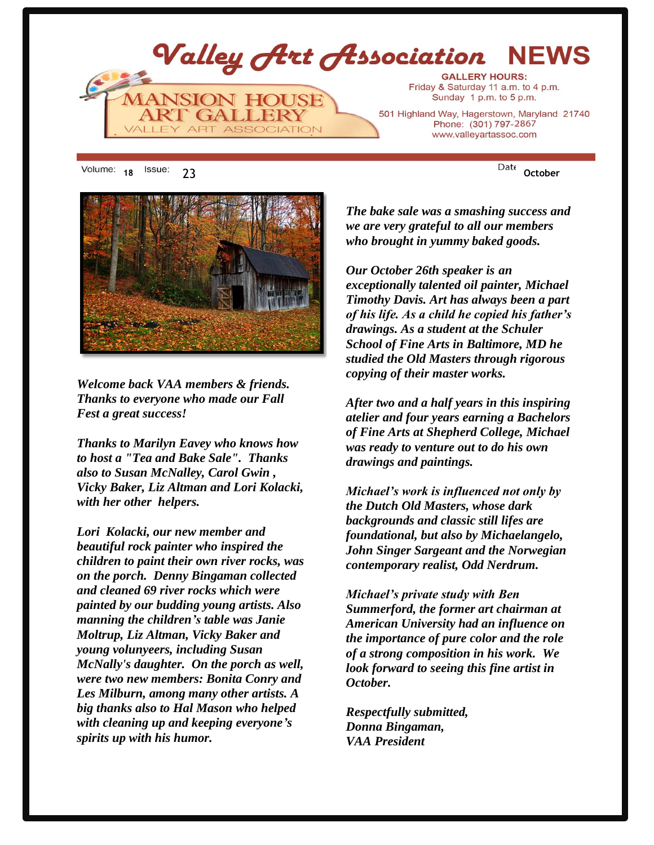

18 <sup>ISSUE:</sup> 23 **October** 



*Welcome back VAA members & friends. Thanks to everyone who made our Fall Fest a great success!*

*Thanks to Marilyn Eavey who knows how to host a "Tea and Bake Sale". Thanks also to Susan McNalley, Carol Gwin , Vicky Baker, Liz Altman and Lori Kolacki, with her other helpers.*

*Lori Kolacki, our new member and beautiful rock painter who inspired the children to paint their own river rocks, was on the porch. Denny Bingaman collected and cleaned 69 river rocks which were painted by our budding young artists. Also manning the children's table was Janie Moltrup, Liz Altman, Vicky Baker and young volunyeers, including Susan McNally's daughter. On the porch as well, were two new members: Bonita Conry and Les Milburn, among many other artists. A big thanks also to Hal Mason who helped with cleaning up and keeping everyone's spirits up with his humor.* 

*The bake sale was a smashing success and we are very grateful to all our members who brought in yummy baked goods.*

*Our October 26th speaker is an exceptionally talented oil painter, Michael Timothy Davis. Art has always been a part of his life. As a child he copied his father's drawings. As a student at the Schuler School of Fine Arts in Baltimore, MD he studied the Old Masters through rigorous copying of their master works.* 

*After two and a half years in this inspiring atelier and four years earning a Bachelors of Fine Arts at Shepherd College, Michael was ready to venture out to do his own drawings and paintings.*

*Michael's work is influenced not only by the Dutch Old Masters, whose dark backgrounds and classic still lifes are foundational, but also by Michaelangelo, John Singer Sargeant and the Norwegian contemporary realist, Odd Nerdrum.* 

*Michael's private study with Ben Summerford, the former art chairman at American University had an influence on the importance of pure color and the role of a strong composition in his work. We look forward to seeing this fine artist in October.*

*Respectfully submitted, Donna Bingaman, VAA President*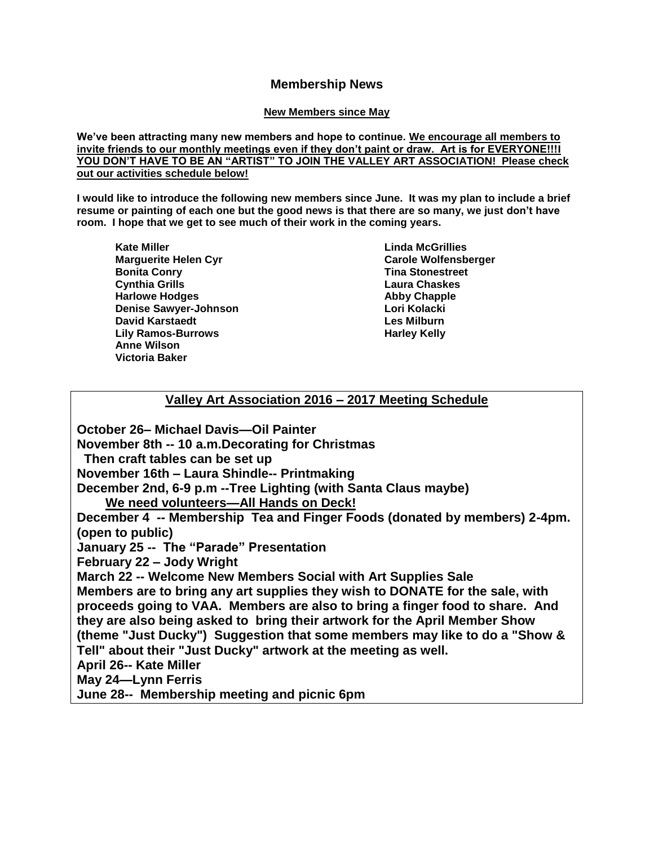# **Membership News**

#### **New Members since May**

**We've been attracting many new members and hope to continue. We encourage all members to invite friends to our monthly meetings even if they don't paint or draw. Art is for EVERYONE!!!I YOU DON'T HAVE TO BE AN "ARTIST" TO JOIN THE VALLEY ART ASSOCIATION! Please check out our activities schedule below!**

**I would like to introduce the following new members since June. It was my plan to include a brief resume or painting of each one but the good news is that there are so many, we just don't have room. I hope that we get to see much of their work in the coming years.** 

**Kate Miller Marguerite Helen Cyr Bonita Conry Cynthia Grills Harlowe Hodges Denise Sawyer-Johnson David Karstaedt Lily Ramos-Burrows Anne Wilson Victoria Baker**

**Linda McGrillies Carole Wolfensberger Tina Stonestreet Laura Chaskes Abby Chapple Lori Kolacki Les Milburn Harley Kelly**

# **Valley Art Association 2016 – 2017 Meeting Schedule**

**October 26– Michael Davis—Oil Painter November 8th -- 10 a.m.Decorating for Christmas Then craft tables can be set up November 16th – Laura Shindle-- Printmaking December 2nd, 6-9 p.m --Tree Lighting (with Santa Claus maybe) We need volunteers—All Hands on Deck! December 4 -- Membership Tea and Finger Foods (donated by members) 2-4pm. (open to public) January 25 -- The "Parade" Presentation February 22 – Jody Wright March 22 -- Welcome New Members Social with Art Supplies Sale Members are to bring any art supplies they wish to DONATE for the sale, with proceeds going to VAA. Members are also to bring a finger food to share. And they are also being asked to bring their artwork for the April Member Show (theme "Just Ducky") Suggestion that some members may like to do a "Show & Tell" about their "Just Ducky" artwork at the meeting as well. April 26-- Kate Miller May 24—Lynn Ferris June 28-- Membership meeting and picnic 6pm**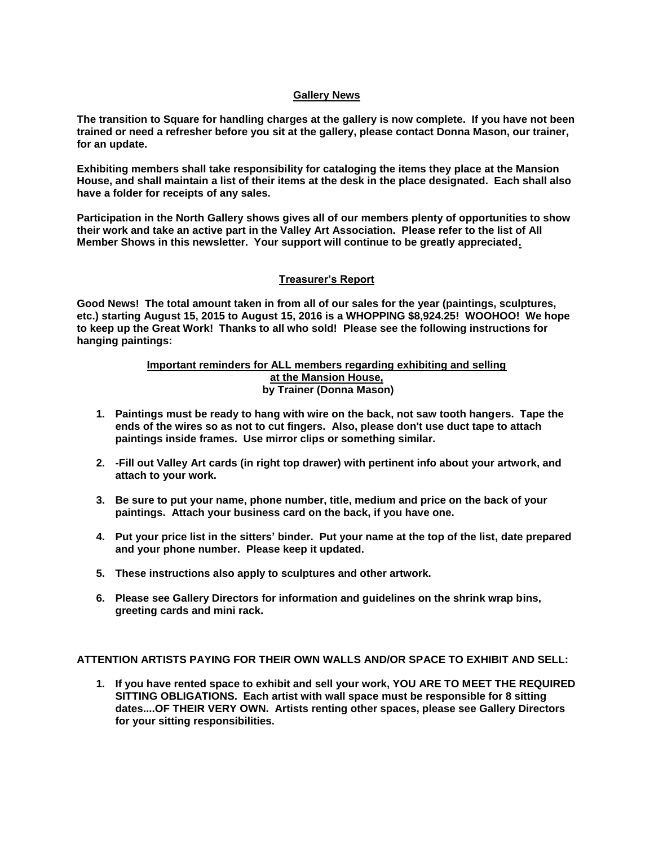#### **Gallery News**

**The transition to Square for handling charges at the gallery is now complete. If you have not been trained or need a refresher before you sit at the gallery, please contact Donna Mason, our trainer, for an update.**

**Exhibiting members shall take responsibility for cataloging the items they place at the Mansion House, and shall maintain a list of their items at the desk in the place designated. Each shall also have a folder for receipts of any sales.** 

**Participation in the North Gallery shows gives all of our members plenty of opportunities to show their work and take an active part in the Valley Art Association. Please refer to the list of All Member Shows in this newsletter. Your support will continue to be greatly appreciated.**

#### **Treasurer's Report**

**Good News! The total amount taken in from all of our sales for the year (paintings, sculptures, etc.) starting August 15, 2015 to August 15, 2016 is a WHOPPING \$8,924.25! WOOHOO! We hope to keep up the Great Work! Thanks to all who sold! Please see the following instructions for hanging paintings:**

#### **Important reminders for ALL members regarding exhibiting and selling at the Mansion House, by Trainer (Donna Mason)**

- **1. Paintings must be ready to hang with wire on the back, not saw tooth hangers. Tape the ends of the wires so as not to cut fingers. Also, please don't use duct tape to attach paintings inside frames. Use mirror clips or something similar.**
- **2. -Fill out Valley Art cards (in right top drawer) with pertinent info about your artwork, and attach to your work.**
- **3. Be sure to put your name, phone number, title, medium and price on the back of your paintings. Attach your business card on the back, if you have one.**
- **4. Put your price list in the sitters' binder. Put your name at the top of the list, date prepared and your phone number. Please keep it updated.**
- **5. These instructions also apply to sculptures and other artwork.**
- **6. Please see Gallery Directors for information and guidelines on the shrink wrap bins, greeting cards and mini rack.**

**ATTENTION ARTISTS PAYING FOR THEIR OWN WALLS AND/OR SPACE TO EXHIBIT AND SELL:**

**1. If you have rented space to exhibit and sell your work, YOU ARE TO MEET THE REQUIRED SITTING OBLIGATIONS. Each artist with wall space must be responsible for 8 sitting dates....OF THEIR VERY OWN. Artists renting other spaces, please see Gallery Directors for your sitting responsibilities.**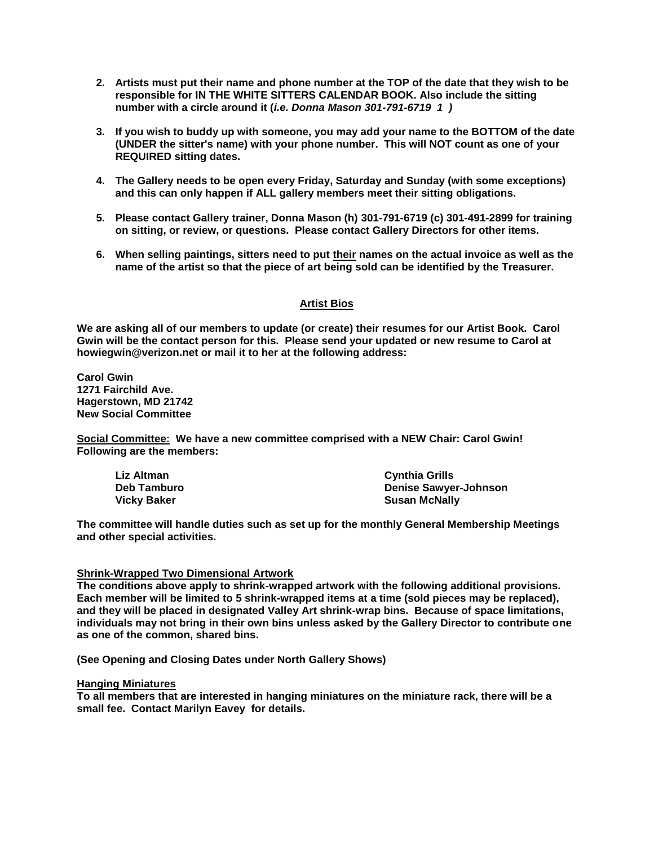- **2. Artists must put their name and phone number at the TOP of the date that they wish to be responsible for IN THE WHITE SITTERS CALENDAR BOOK. Also include the sitting number with a circle around it (***i.e. Donna Mason 301-791-6719 1 )*
- **3. If you wish to buddy up with someone, you may add your name to the BOTTOM of the date (UNDER the sitter's name) with your phone number. This will NOT count as one of your REQUIRED sitting dates.**
- **4. The Gallery needs to be open every Friday, Saturday and Sunday (with some exceptions) and this can only happen if ALL gallery members meet their sitting obligations.**
- **5. Please contact Gallery trainer, Donna Mason (h) 301-791-6719 (c) 301-491-2899 for training on sitting, or review, or questions. Please contact Gallery Directors for other items.**
- **6. When selling paintings, sitters need to put their names on the actual invoice as well as the name of the artist so that the piece of art being sold can be identified by the Treasurer.**

#### **Artist Bios**

**We are asking all of our members to update (or create) their resumes for our Artist Book. Carol Gwin will be the contact person for this. Please send your updated or new resume to Carol at howiegwin@verizon.net or mail it to her at the following address:**

**Carol Gwin 1271 Fairchild Ave. Hagerstown, MD 21742 New Social Committee**

**Social Committee: We have a new committee comprised with a NEW Chair: Carol Gwin! Following are the members:**

| Liz Altman         | <b>Cynthia Grills</b>        |
|--------------------|------------------------------|
| <b>Deb Tamburo</b> | <b>Denise Sawyer-Johnson</b> |
| <b>Vicky Baker</b> | <b>Susan McNally</b>         |

**The committee will handle duties such as set up for the monthly General Membership Meetings and other special activities.**

#### **Shrink-Wrapped Two Dimensional Artwork**

**The conditions above apply to shrink-wrapped artwork with the following additional provisions. Each member will be limited to 5 shrink-wrapped items at a time (sold pieces may be replaced), and they will be placed in designated Valley Art shrink-wrap bins. Because of space limitations, individuals may not bring in their own bins unless asked by the Gallery Director to contribute one as one of the common, shared bins.**

**(See Opening and Closing Dates under North Gallery Shows)**

#### **Hanging Miniatures**

**To all members that are interested in hanging miniatures on the miniature rack, there will be a small fee. Contact Marilyn Eavey for details.**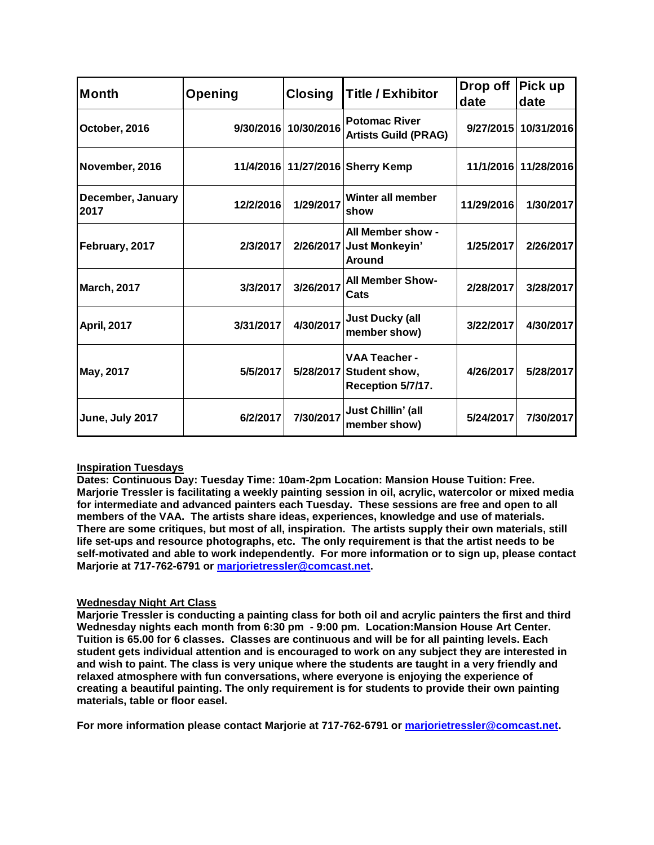| <b>Month</b>              | Opening   | <b>Closing</b>       | <b>Title / Exhibitor</b>                                             | Drop off<br>date | Pick up<br>date      |
|---------------------------|-----------|----------------------|----------------------------------------------------------------------|------------------|----------------------|
| October, 2016             |           | 9/30/2016 10/30/2016 | <b>Potomac River</b><br><b>Artists Guild (PRAG)</b>                  |                  | 9/27/2015 10/31/2016 |
| November, 2016            |           |                      | 11/4/2016 11/27/2016 Sherry Kemp                                     |                  | 11/1/2016 11/28/2016 |
| December, January<br>2017 | 12/2/2016 | 1/29/2017            | Winter all member<br>show                                            | 11/29/2016       | 1/30/2017            |
| February, 2017            | 2/3/2017  |                      | All Member show -<br>2/26/2017 Just Monkeyin'<br><b>Around</b>       | 1/25/2017        | 2/26/2017            |
| <b>March, 2017</b>        | 3/3/2017  | 3/26/2017            | <b>All Member Show-</b><br>Cats                                      | 2/28/2017        | 3/28/2017            |
| <b>April, 2017</b>        | 3/31/2017 | 4/30/2017            | <b>Just Ducky (all</b><br>member show)                               | 3/22/2017        | 4/30/2017            |
| May, 2017                 | 5/5/2017  |                      | <b>VAA Teacher -</b><br>5/28/2017 Student show,<br>Reception 5/7/17. | 4/26/2017        | 5/28/2017            |
| June, July 2017           | 6/2/2017  | 7/30/2017            | Just Chillin' (all<br>member show)                                   | 5/24/2017        | 7/30/2017            |

# **Inspiration Tuesdays**

**Dates: Continuous Day: Tuesday Time: 10am-2pm Location: Mansion House Tuition: Free. Marjorie Tressler is facilitating a weekly painting session in oil, acrylic, watercolor or mixed media for intermediate and advanced painters each Tuesday. These sessions are free and open to all members of the VAA. The artists share ideas, experiences, knowledge and use of materials. There are some critiques, but most of all, inspiration. The artists supply their own materials, still life set-ups and resource photographs, etc. The only requirement is that the artist needs to be self-motivated and able to work independently. For more information or to sign up, please contact Marjorie at 717-762-6791 or [marjorietressler@comcast.net.](mailto:marjorietressler@comcast.net)**

# **Wednesday Night Art Class**

**Marjorie Tressler is conducting a painting class for both oil and acrylic painters the first and third Wednesday nights each month from 6:30 pm - 9:00 pm. Location:Mansion House Art Center. Tuition is 65.00 for 6 classes. Classes are continuous and will be for all painting levels. Each student gets individual attention and is encouraged to work on any subject they are interested in and wish to paint. The class is very unique where the students are taught in a very friendly and relaxed atmosphere with fun conversations, where everyone is enjoying the experience of creating a beautiful painting. The only requirement is for students to provide their own painting materials, table or floor easel.**

**For more information please contact Marjorie at 717-762-6791 or [marjorietressler@comcast.net.](mailto:marjorietressler@comcast.net)**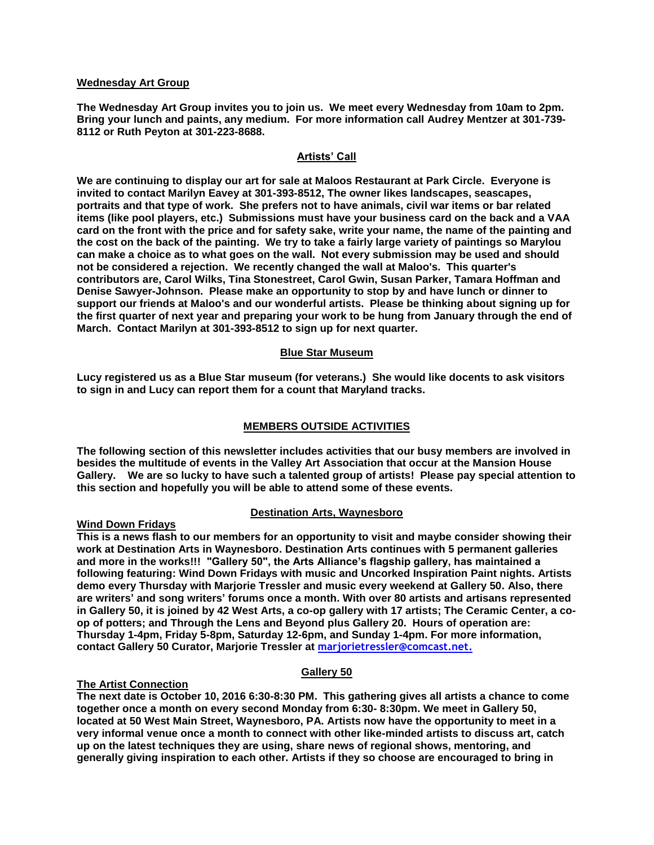#### **Wednesday Art Group**

**The Wednesday Art Group invites you to join us. We meet every Wednesday from 10am to 2pm. Bring your lunch and paints, any medium. For more information call Audrey Mentzer at 301-739- 8112 or Ruth Peyton at 301-223-8688.**

#### **Artists' Call**

**We are continuing to display our art for sale at Maloos Restaurant at Park Circle. Everyone is invited to contact Marilyn Eavey at 301-393-8512, The owner likes landscapes, seascapes, portraits and that type of work. She prefers not to have animals, civil war items or bar related items (like pool players, etc.) Submissions must have your business card on the back and a VAA card on the front with the price and for safety sake, write your name, the name of the painting and the cost on the back of the painting. We try to take a fairly large variety of paintings so Marylou can make a choice as to what goes on the wall. Not every submission may be used and should not be considered a rejection. We recently changed the wall at Maloo's. This quarter's contributors are, Carol Wilks, Tina Stonestreet, Carol Gwin, Susan Parker, Tamara Hoffman and Denise Sawyer-Johnson. Please make an opportunity to stop by and have lunch or dinner to support our friends at Maloo's and our wonderful artists. Please be thinking about signing up for the first quarter of next year and preparing your work to be hung from January through the end of March. Contact Marilyn at 301-393-8512 to sign up for next quarter.**

#### **Blue Star Museum**

**Lucy registered us as a Blue Star museum (for veterans.) She would like docents to ask visitors to sign in and Lucy can report them for a count that Maryland tracks.** 

#### **MEMBERS OUTSIDE ACTIVITIES**

**The following section of this newsletter includes activities that our busy members are involved in besides the multitude of events in the Valley Art Association that occur at the Mansion House Gallery. We are so lucky to have such a talented group of artists! Please pay special attention to this section and hopefully you will be able to attend some of these events.**

#### **Destination Arts, Waynesboro**

### **Wind Down Fridays**

**This is a news flash to our members for an opportunity to visit and maybe consider showing their work at Destination Arts in Waynesboro. Destination Arts continues with 5 permanent galleries and more in the works!!! "Gallery 50", the Arts Alliance's flagship gallery, has maintained a following featuring: Wind Down Fridays with music and Uncorked Inspiration Paint nights. Artists demo every Thursday with Marjorie Tressler and music every weekend at Gallery 50. Also, there are writers' and song writers' forums once a month. With over 80 artists and artisans represented in Gallery 50, it is joined by 42 West Arts, a co-op gallery with 17 artists; The Ceramic Center, a coop of potters; and Through the Lens and Beyond plus Gallery 20. Hours of operation are: Thursday 1-4pm, Friday 5-8pm, Saturday 12-6pm, and Sunday 1-4pm. For more information, contact Gallery 50 Curator, Marjorie Tressler at [marjorietressler@comcast.net.](mailto:marjorietressler@comcast.net)**

#### **Gallery 50**

#### **The Artist Connection**

**The next date is October 10, 2016 6:30-8:30 PM. This gathering gives all artists a chance to come together once a month on every second Monday from 6:30- 8:30pm. We meet in Gallery 50, located at 50 West Main Street, Waynesboro, PA. Artists now have the opportunity to meet in a very informal venue once a month to connect with other like-minded artists to discuss art, catch up on the latest techniques they are using, share news of regional shows, mentoring, and generally giving inspiration to each other. Artists if they so choose are encouraged to bring in**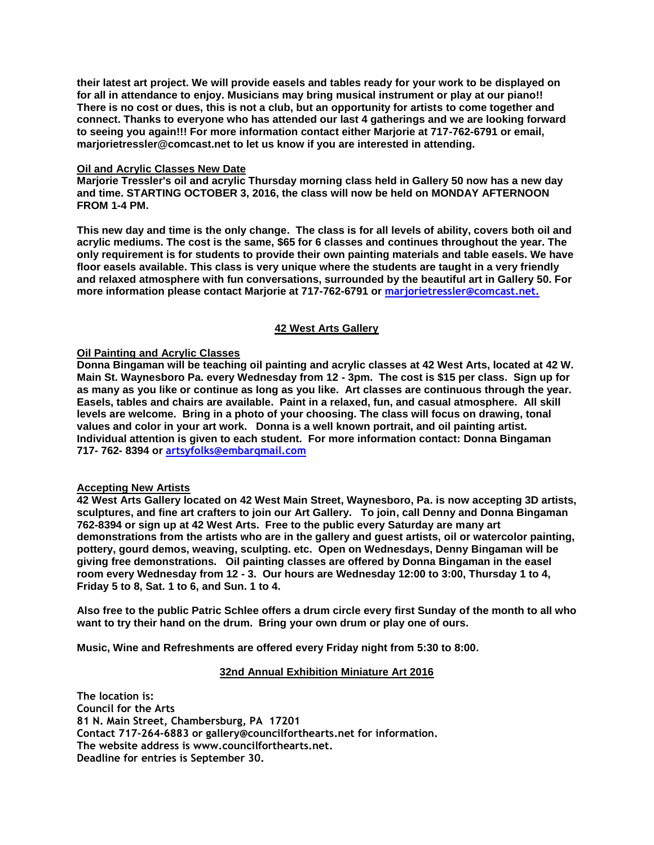**their latest art project. We will provide easels and tables ready for your work to be displayed on for all in attendance to enjoy. Musicians may bring musical instrument or play at our piano!! There is no cost or dues, this is not a club, but an opportunity for artists to come together and connect. Thanks to everyone who has attended our last 4 gatherings and we are looking forward to seeing you again!!! For more information contact either Marjorie at 717-762-6791 or email, marjorietressler@comcast.net to let us know if you are interested in attending.**

#### **Oil and Acrylic Classes New Date**

**Marjorie Tressler's oil and acrylic Thursday morning class held in Gallery 50 now has a new day and time. STARTING OCTOBER 3, 2016, the class will now be held on MONDAY AFTERNOON FROM 1-4 PM.**

**This new day and time is the only change. The class is for all levels of ability, covers both oil and acrylic mediums. The cost is the same, \$65 for 6 classes and continues throughout the year. The only requirement is for students to provide their own painting materials and table easels. We have floor easels available. This class is very unique where the students are taught in a very friendly and relaxed atmosphere with fun conversations, surrounded by the beautiful art in Gallery 50. For more information please contact Marjorie at 717-762-6791 or marjorietressler@comcast.net.** 

### **42 West Arts Gallery**

### **Oil Painting and Acrylic Classes**

**Donna Bingaman will be teaching oil painting and acrylic classes at 42 West Arts, located at 42 W. Main St. Waynesboro Pa. every Wednesday from 12 - 3pm. The cost is \$15 per class. Sign up for as many as you like or continue as long as you like. Art classes are continuous through the year. Easels, tables and chairs are available. Paint in a relaxed, fun, and casual atmosphere. All skill levels are welcome. Bring in a photo of your choosing. The class will focus on drawing, tonal values and color in your art work. Donna is a well known portrait, and oil painting artist. Individual attention is given to each student. For more information contact: Donna Bingaman 717- 762- 8394 or artsyfolks@embarqmail.com**

#### **Accepting New Artists**

**42 West Arts Gallery located on 42 West Main Street, Waynesboro, Pa. is now accepting 3D artists, sculptures, and fine art crafters to join our Art Gallery. To join, call Denny and Donna Bingaman 762-8394 or sign up at 42 West Arts. Free to the public every Saturday are many art demonstrations from the artists who are in the gallery and guest artists, oil or watercolor painting, pottery, gourd demos, weaving, sculpting. etc. Open on Wednesdays, Denny Bingaman will be giving free demonstrations. Oil painting classes are offered by Donna Bingaman in the easel room every Wednesday from 12 - 3. Our hours are Wednesday 12:00 to 3:00, Thursday 1 to 4, Friday 5 to 8, Sat. 1 to 6, and Sun. 1 to 4.**

**Also free to the public Patric Schlee offers a drum circle every first Sunday of the month to all who want to try their hand on the drum. Bring your own drum or play one of ours.**

**Music, Wine and Refreshments are offered every Friday night from 5:30 to 8:00.**

#### **32nd Annual Exhibition Miniature Art 2016**

**The location is: Council for the Arts 81 N. Main Street, Chambersburg, PA 17201 Contact 717-264-6883 or gallery@councilforthearts.net for information. The website address is www.councilforthearts.net. Deadline for entries is September 30.**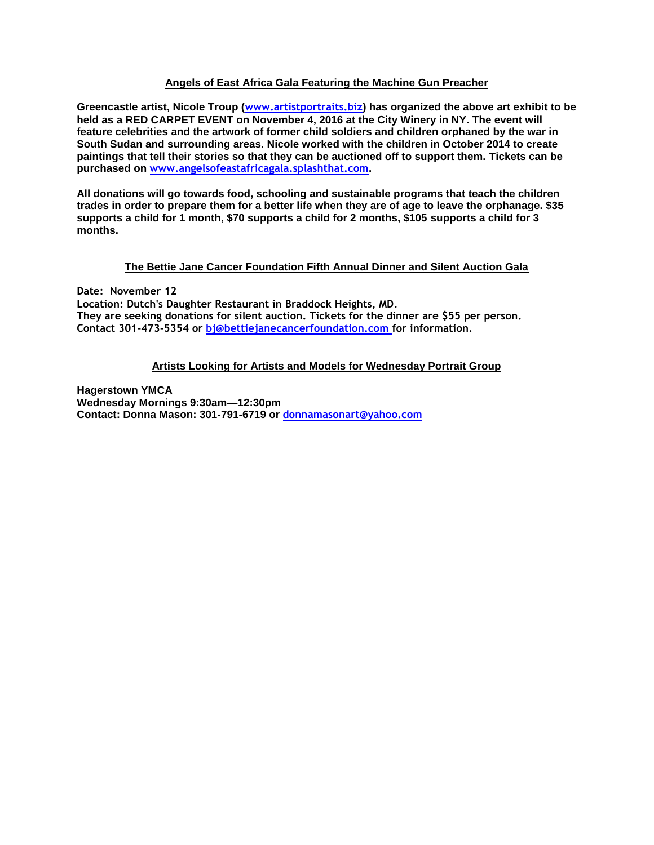# **Angels of East Africa Gala Featuring the Machine Gun Preacher**

**Greencastle artist, Nicole Troup (www.artistportraits.biz) has organized the above art exhibit to be held as a RED CARPET EVENT on November 4, 2016 at the City Winery in NY. The event will feature celebrities and the artwork of former child soldiers and children orphaned by the war in South Sudan and surrounding areas. Nicole worked with the children in October 2014 to create paintings that tell their stories so that they can be auctioned off to support them. Tickets can be purchased on www.angelsofeastafricagala.splashthat.com.** 

**All donations will go towards food, schooling and sustainable programs that teach the children trades in order to prepare them for a better life when they are of age to leave the orphanage. \$35 supports a child for 1 month, \$70 supports a child for 2 months, \$105 supports a child for 3 months.**

# **The Bettie Jane Cancer Foundation Fifth Annual Dinner and Silent Auction Gala**

**Date: November 12 Location: Dutch's Daughter Restaurant in Braddock Heights, MD. They are seeking donations for silent auction. Tickets for the dinner are \$55 per person. Contact 301-473-5354 or bj@bettiejanecancerfoundation.com for information.**

# **Artists Looking for Artists and Models for Wednesday Portrait Group**

**Hagerstown YMCA Wednesday Mornings 9:30am—12:30pm Contact: Donna Mason: 301-791-6719 or [donnamasonart@yahoo.com](mailto:donnamasonart@yahoo.com)**